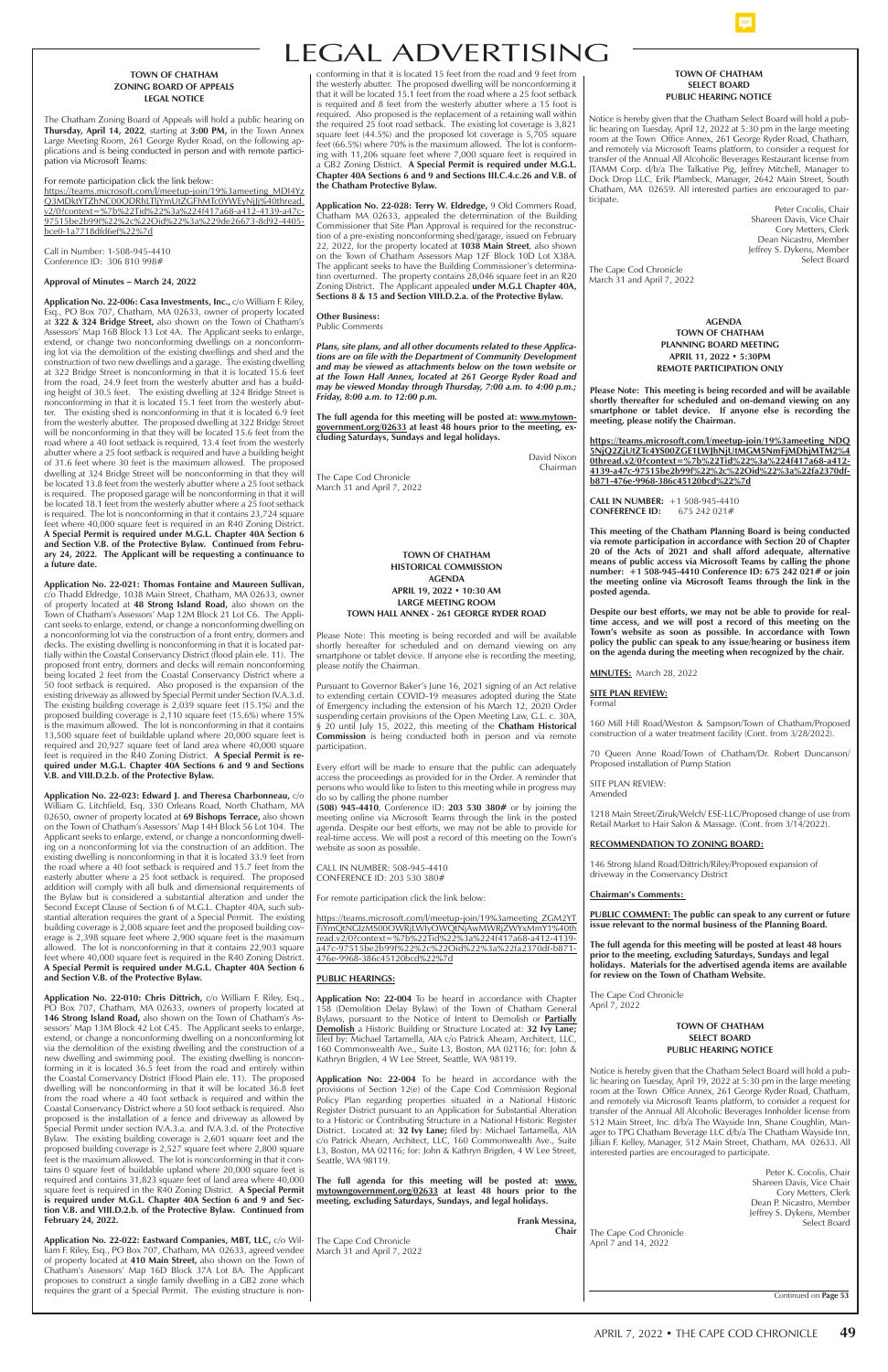# LEGAL ADVERTISING

# **TOWN OF CHATHAM SELECT BOARD PUBLIC HEARING NOTICE**

Notice is hereby given that the Chatham Select Board will hold a public hearing on Tuesday, April 12, 2022 at 5:30 pm in the large meeting room at the Town Office Annex, 261 George Ryder Road, Chatham, and remotely via Microsoft Teams platform, to consider a request for transfer of the Annual All Alcoholic Beverages Restaurant license from JTAMM Corp. d/b/a The Talkative Pig, Jeffrey Mitchell, Manager to Dock Drop LLC, Erik Plambeck, Manager, 2642 Main Street, South Chatham, MA 02659. All interested parties are encouraged to participate.

> Peter Cocolis, Chair Shareen Davis, Vice Chair Cory Metters, Clerk Dean Nicastro, Member Jeffrey S. Dykens, Member Select Board

The Cape Cod Chronicle March 31 and April 7, 2022

conforming in that it is located 15 feet from the road and 9 feet from the westerly abutter. The proposed dwelling will be nonconforming it that it will be located 15.1 feet from the road where a 25 foot setback is required and 8 feet from the westerly abutter where a 15 foot is required. Also proposed is the replacement of a retaining wall within the required 25 foot road setback. The existing lot coverage is 3,821 square feet (44.5%) and the proposed lot coverage is 5,705 square feet (66.5%) where 70% is the maximum allowed. The lot is conforming with 11,206 square feet where 7,000 square feet is required in a GB2 Zoning District. **A Special Permit is required under M.G.L. Chapter 40A Sections 6 and 9 and Sections III.C.4.c.26 and V.B. of the Chatham Protective Bylaw.**

**Application No. 22-028: Terry W. Eldredge,** 9 Old Commers Road, Chatham MA 02633, appealed the determination of the Building Commissioner that Site Plan Approval is required for the reconstruction of a pre-existing nonconforming shed/garage, issued on February 22, 2022, for the property located at **1038 Main Street**, also shown on the Town of Chatham Assessors Map 12F Block 10D Lot X38A. The applicant seeks to have the Building Commissioner's determination overturned. The property contains 28,046 square feet in an R20 Zoning District. The Applicant appealed **under M.G.L Chapter 40A, Sections 8 & 15 and Section VIII.D.2.a. of the Protective Bylaw.** 

#### **Other Business:** Public Comments

*Plans, site plans, and all other documents related to these Applications are on file with the Department of Community Development and may be viewed as attachments below on the town website or at the Town Hall Annex, located at 261 George Ryder Road and may be viewed Monday through Thursday, 7:00 a.m. to 4:00 p.m.; Friday, 8:00 a.m. to 12:00 p.m.*

**The full agenda for this meeting will be posted at: www.mytowngovernment.org/02633 at least 48 hours prior to the meeting, excluding Saturdays, Sundays and legal holidays.**

> David Nixon Chairman

The Cape Cod Chronicle March 31 and April 7, 2022

# **TOWN OF CHATHAM ZONING BOARD OF APPEALS LEGAL NOTICE**

The Chatham Zoning Board of Appeals will hold a public hearing on **Thursday, April 14, 2022**, starting at **3:00 PM,** in the Town Annex Large Meeting Room, 261 George Ryder Road, on the following applications and is being conducted in person and with remote participation via Microsoft Teams:

For remote participation click the link below:

https://teams.microsoft.com/l/meetup-join/19%3ameeting\_MDI4Yz Q3MDktYTZhNC00ODRhLTljYmUtZGFhMTc0YWEyNjJj%40thread. v2/0?context=%7b%22Tid%22%3a%224f417a68-a412-4139-a47c-97515be2b99f%22%2c%22Oid%22%3a%229de26673-8d92-4405 bce0-1a7718dfd6ef%22%7d

Call in Number: 1-508-945-4410 Conference ID: 306 810 998#

#### **Approval of Minutes – March 24, 2022**

**Application No. 22-006: Casa Investments, Inc.,** c/o William F. Riley, Esq., PO Box 707, Chatham, MA 02633, owner of property located at **322 & 324 Bridge Street,** also shown on the Town of Chatham's Assessors' Map 16B Block 13 Lot 4A. The Applicant seeks to enlarge, extend, or change two nonconforming dwellings on a nonconforming lot via the demolition of the existing dwellings and shed and the construction of two new dwellings and a garage. The existing dwelling at 322 Bridge Street is nonconforming in that it is located 15.6 feet from the road, 24.9 feet from the westerly abutter and has a building height of 30.5 feet. The existing dwelling at 324 Bridge Street is nonconforming in that it is located 15.1 feet from the westerly abutter. The existing shed is nonconforming in that it is located 6.9 feet from the westerly abutter. The proposed dwelling at 322 Bridge Street will be nonconforming in that they will be located 15.6 feet from the road where a 40 foot setback is required, 13.4 feet from the westerly abutter where a 25 foot setback is required and have a building height of 31.6 feet where 30 feet is the maximum allowed. The proposed dwelling at 324 Bridge Street will be nonconforming in that they will be located 13.8 feet from the westerly abutter where a 25 foot setback is required. The proposed garage will be nonconforming in that it will be located 18.1 feet from the westerly abutter where a 25 foot setback is required. The lot is nonconforming in that it contains 23,724 square feet where 40,000 square feet is required in an R40 Zoning District. **A Special Permit is required under M.G.L. Chapter 40A Section 6 and Section V.B. of the Protective Bylaw. Continued from February 24, 2022. The Applicant will be requesting a continuance to a future date.** 

**Application No. 22-021: Thomas Fontaine and Maureen Sullivan,**  c/o Thadd Eldredge, 1038 Main Street, Chatham, MA 02633, owner of property located at **48 Strong Island Road,** also shown on the Town of Chatham's Assessors' Map 12M Block 21 Lot C6. The Applicant seeks to enlarge, extend, or change a nonconforming dwelling on a nonconforming lot via the construction of a front entry, dormers and decks. The existing dwelling is nonconforming in that it is located partially within the Coastal Conservancy District (flood plain ele. 11). The proposed front entry, dormers and decks will remain nonconforming being located 2 feet from the Coastal Conservancy District where a 50 foot setback is required. Also proposed is the expansion of the existing driveway as allowed by Special Permit under Section IV.A.3.d. The existing building coverage is 2,039 square feet (15.1%) and the proposed building coverage is 2,110 square feet (15.6%) where 15% is the maximum allowed. The lot is nonconforming in that it contains 13,500 square feet of buildable upland where 20,000 square feet is required and 20,927 square feet of land area where 40,000 square feet is required in the R40 Zoning District. **A Special Permit is required under M.G.L. Chapter 40A Sections 6 and 9 and Sections V.B. and VIII.D.2.b. of the Protective Bylaw.** 

**Application No. 22-023: Edward J. and Theresa Charbonneau,** c/o William G. Litchfield, Esq, 330 Orleans Road, North Chatham, MA 02650, owner of property located at **69 Bishops Terrace,** also shown on the Town of Chatham's Assessors' Map 14H Block 56 Lot 104. The Applicant seeks to enlarge, extend, or change a nonconforming dwelling on a nonconforming lot via the construction of an addition. The existing dwelling is nonconforming in that it is located 33.9 feet from the road where a 40 foot setback is required and 15.7 feet from the easterly abutter where a 25 foot setback is required. The proposed addition will comply with all bulk and dimensional requirements of the Bylaw but is considered a substantial alteration and under the Second Except Clause of Section 6 of M.G.L. Chapter 40A, such substantial alteration requires the grant of a Special Permit. The existing building coverage is 2,008 square feet and the proposed building coverage is 2,398 square feet where 2,900 square feet is the maximum allowed. The lot is nonconforming in that it contains 22,903 square feet where 40,000 square feet is required in the R40 Zoning District. **A Special Permit is required under M.G.L. Chapter 40A Section 6 and Section V.B. of the Protective Bylaw.** 

**Application No. 22-010: Chris Dittrich, c/o William F. Riley, Esq., |** 

| PO Box 707, Chatham, MA 02633, owners of property located at<br>146 Strong Island Road, also shown on the Town of Chatham's As-              | 158 (Demolition Delay Bylaw) of the Town of Chatham General<br>Bylaws, pursuant to the Notice of Intent to Demolish or <b>Partially</b> | April 7, 2022                                                          |
|----------------------------------------------------------------------------------------------------------------------------------------------|-----------------------------------------------------------------------------------------------------------------------------------------|------------------------------------------------------------------------|
| sessors' Map 13M Block 42 Lot C45. The Applicant seeks to enlarge,                                                                           | <b>Demolish</b> a Historic Building or Structure Located at: 32 Ivy Lane;                                                               | <b>TOWN OF CHATHAM</b>                                                 |
| extend, or change a nonconforming dwelling on a nonconforming lot                                                                            | filed by: Michael Tartamella, AIA c/o Patrick Ahearn, Architect, LLC,                                                                   | <b>SELECT BOARD</b>                                                    |
| via the demolition of the existing dwelling and the construction of a                                                                        | 160 Commonwealth Ave., Suite L3, Boston, MA 02116; for: John &                                                                          | <b>PUBLIC HEARING NOTICE</b>                                           |
| new dwelling and swimming pool. The existing dwelling is noncon-                                                                             | Kathryn Brigden, 4 W Lee Street, Seattle, WA 98119.                                                                                     |                                                                        |
| forming in it is located 36.5 feet from the road and entirely within                                                                         |                                                                                                                                         | Notice is hereby given that the Chatham Select Board will hold a pub-  |
| the Coastal Conservancy District (Flood Plain ele. 11). The proposed                                                                         | Application No: 22-004 To be heard in accordance with the                                                                               | lic hearing on Tuesday, April 19, 2022 at 5:30 pm in the large meeting |
| dwelling will be nonconforming in that it will be located 36.8 feet                                                                          | provisions of Section 12(e) of the Cape Cod Commission Regional                                                                         | room at the Town Office Annex, 261 George Ryder Road, Chatham,         |
| from the road where a 40 foot setback is required and within the                                                                             | Policy Plan regarding properties situated in a National Historic                                                                        | and remotely via Microsoft Teams platform, to consider a request for   |
| Coastal Conservancy District where a 50 foot setback is required. Also                                                                       | Register District pursuant to an Application for Substantial Alteration                                                                 | transfer of the Annual All Alcoholic Beverages Innholder license from  |
| proposed is the installation of a fence and driveway as allowed by                                                                           | to a Historic or Contributing Structure in a National Historic Register                                                                 | 512 Main Street, Inc. d/b/a The Wayside Inn, Shane Coughlin, Man-      |
| Special Permit under section IV.A.3.a. and IV.A.3.d. of the Protective<br>Bylaw. The existing building coverage is 2,601 square feet and the | District. Located at: 32 Ivy Lane; filed by: Michael Tartamella, AIA                                                                    | ager to TPG Chatham Beverage LLC d/b/a The Chatham Wayside Inn,        |
| proposed building coverage is 2,527 square feet where 2,800 square                                                                           | c/o Patrick Ahearn, Architect, LLC, 160 Commonwealth Ave., Suite<br>L3, Boston, MA 02116; for: John & Kathryn Brigden, 4 W Lee Street,  | Jillian F. Kelley, Manager, 512 Main Street, Chatham, MA 02633. All    |
| feet is the maximum allowed. The lot is nonconforming in that it con-                                                                        | Seattle, WA 98119.                                                                                                                      | interested parties are encouraged to participate.                      |
| tains 0 square feet of buildable upland where 20,000 square feet is                                                                          |                                                                                                                                         |                                                                        |
| required and contains 31,823 square feet of land area where 40,000                                                                           | The full agenda for this meeting will be posted at: www.                                                                                | Peter K. Cocolis, Chair<br>Shareen Davis, Vice Chair                   |
| square feet is required in the R40 Zoning District. A Special Permit                                                                         | mytowngovernment.org/02633 at least 48 hours prior to the                                                                               | Cory Metters, Clerk                                                    |
| is required under M.G.L. Chapter 40A Section 6 and 9 and Sec-                                                                                | meeting, excluding Saturdays, Sundays, and legal holidays.                                                                              | Dean P. Nicastro, Member                                               |
| tion V.B. and VIII.D.2.b. of the Protective Bylaw. Continued from                                                                            |                                                                                                                                         | Jeffrey S. Dykens, Member                                              |
| February 24, 2022.                                                                                                                           | Frank Messina,                                                                                                                          | Select Board                                                           |
|                                                                                                                                              | Chair                                                                                                                                   | The Cape Cod Chronicle                                                 |
| Application No. 22-022: Eastward Companies, MBT, LLC, c/o Wil-                                                                               | The Cape Cod Chronicle                                                                                                                  | April 7 and 14, 2022                                                   |
| liam F. Riley, Esq., PO Box 707, Chatham, MA 02633, agreed vendee                                                                            | March 31 and April 7, 2022                                                                                                              |                                                                        |
| of property located at 410 Main Street, also shown on the Town of                                                                            |                                                                                                                                         |                                                                        |
| Chatham's Assessors' Map 16D Block 37A Lot 8A. The Applicant                                                                                 |                                                                                                                                         |                                                                        |
| proposes to construct a single family dwelling in a GB2 zone which<br>requires the grant of a Special Permit. The existing structure is non- |                                                                                                                                         |                                                                        |
|                                                                                                                                              |                                                                                                                                         | Continued on Page 53                                                   |

**TOWN OF CHATHAM HISTORICAL COMMISSION AGENDA APRIL 19, 2022 • 10:30 AM LARGE MEETING ROOM TOWN HALL ANNEX - 261 GEORGE RYDER ROAD**

Please Note: This meeting is being recorded and will be available shortly hereafter for scheduled and on demand viewing on any smartphone or tablet device. If anyone else is recording the meeting, please notify the Chairman.

Pursuant to Governor Baker's June 16, 2021 signing of an Act relative to extending certain COVID-19 measures adopted during the State of Emergency including the extension of his March 12, 2020 Order suspending certain provisions of the Open Meeting Law, G.L. c. 30A, § 20 until July 15, 2022, this meeting of the **Chatham Historical Commission** is being conducted both in person and via remote participation.

Every effort will be made to ensure that the public can adequately access the proceedings as provided for in the Order. A reminder that persons who would like to listen to this meeting while in progress may do so by calling the phone number

**(508) 945-4410**, Conference ID: **203 530 380#** or by joining the meeting online via Microsoft Teams through the link in the posted agenda. Despite our best efforts, we may not be able to provide for real-time access. We will post a record of this meeting on the Town's website as soon as possible.

CALL IN NUMBER: 508-945-4410 CONFERENCE ID: 203 530 380#

For remote participation click the link below:

https://teams.microsoft.com/l/meetup-join/19%3ameeting\_ZGM2YT FiYmQtNGIzMS00OWRjLWIyOWQtNjAwMWRjZWYxMmY1%40th read.v2/0?context=%7b%22Tid%22%3a%224f417a68-a412-4139 a47c-97515be2b99f%22%2c%22Oid%22%3a%22fa2370df-b871- 476e-9968-386c45120bcd%22%7d

# **PUBLIC HEARINGS:**

**Application No: 22-004** To be heard in accordance with Chapter

 **AGENDA TOWN OF CHATHAM PLANNING BOARD MEETING APRIL 11, 2022 • 5:30PM REMOTE PARTICIPATION ONLY**

**Please Note: This meeting is being recorded and will be available shortly thereafter for scheduled and on-demand viewing on any smartphone or tablet device. If anyone else is recording the meeting, please notify the Chairman.** 

**https://teams.microsoft.com/l/meetup-join/19%3ameeting\_NDQ 5NjQ2ZjUtZTc4YS00ZGE1LWJhNjUtMGM5NmFjMDhjMTM2%4 0thread.v2/0?context=%7b%22Tid%22%3a%224f417a68-a412- 4139-a47c-97515be2b99f%22%2c%22Oid%22%3a%22fa2370dfb871-476e-9968-386c45120bcd%22%7d**

**CALL IN NUMBER:** +1 508-945-4410 **CONFERENCE ID:** 675 242 021#

**This meeting of the Chatham Planning Board is being conducted via remote participation in accordance with Section 20 of Chapter 20 of the Acts of 2021 and shall afford adequate, alternative means of public access via Microsoft Teams by calling the phone number: +1 508-945-4410 Conference ID: 675 242 021# or join**  the meeting online via Microsoft Teams through the link in the **posted agenda.**

**Despite our best efforts, we may not be able to provide for real**time access, and we will post a record of this meeting on the **Town's website as soon as possible. In accordance with Town policy the public can speak to any issue/hearing or business item on the agenda during the meeting when recognized by the chair.**

**MINUTES:** March 28, 2022

**SITE PLAN REVIEW:** Formal

160 Mill Hill Road/Weston & Sampson/Town of Chatham/Proposed construction of a water treatment facility (Cont. from 3/28/2022).

70 Queen Anne Road/Town of Chatham/Dr. Robert Duncanson/ Proposed installation of Pump Station

SITE PLAN REVIEW: Amended

1218 Main Street/Ziruk/Welch/ ESE-LLC/Proposed change of use from Retail Market to Hair Salon & Massage. (Cont. from 3/14/2022).

#### **RECOMMENDATION TO ZONING BOARD:**

146 Strong Island Road/Dittrich/Riley/Proposed expansion of driveway in the Conservancy District

#### **Chairman's Comments:**

**PUBLIC COMMENT: The public can speak to any current or future issue relevant to the normal business of the Planning Board.**

**The full agenda for this meeting will be posted at least 48 hours prior to the meeting, excluding Saturdays, Sundays and legal holidays. Materials for the advertised agenda items are available for review on the Town of Chatham Website.** 

The Cape Cod Chronicle